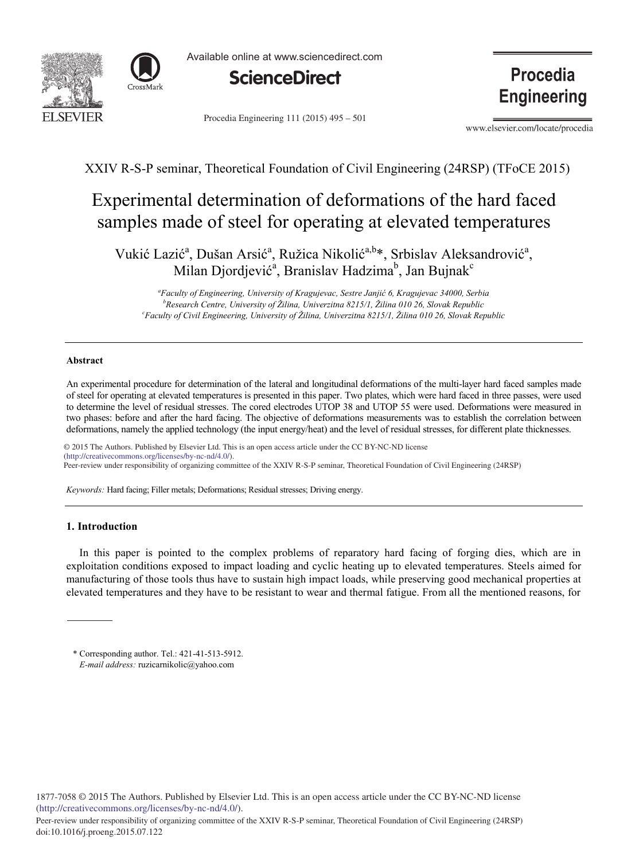



Available online at www.sciencedirect.com



Procedia Engineering 111 (2015) 495 – 501

**Procedia Engineering** 

www.elsevier.com/locate/procedia

XXIV R-S-P seminar, Theoretical Foundation of Civil Engineering (24RSP) (TFoCE 2015)

# Experimental determination of deformations of the hard faced samples made of steel for operating at elevated temperatures

Vukić Lazić<sup>a</sup>, Dušan Arsić<sup>a</sup>, Ružica Nikolić<sup>a,b\*</sup>, Srbislav Aleksandrović<sup>a</sup>, Milan Djordjević<sup>a</sup>, Branislav Hadzima<sup>b</sup>, Jan Bujnak<sup>c</sup>

*a Faculty of Engineering, University of Kragujevac, Sestre Janjić 6, Kragujevac 34000, Serbia b Research Centre, University of Žilina, Univerzitna 8215/1, Žilina 010 26, Slovak Republic c Faculty of Civil Engineering, University of Žilina, Univerzitna 8215/1, Žilina 010 26, Slovak Republic*

# **Abstract**

An experimental procedure for determination of the lateral and longitudinal deformations of the multi-layer hard faced samples made of steel for operating at elevated temperatures is presented in this paper. Two plates, which were hard faced in three passes, were used to determine the level of residual stresses. The cored electrodes UTOP 38 and UTOP 55 were used. Deformations were measured in two phases: before and after the hard facing. The objective of deformations measurements was to establish the correlation between deformations, namely the applied technology (the input energy/heat) and the level of residual stresses, for different plate thicknesses.

© 2015 The Authors. Published by Elsevier Ltd. This is an open access article under the CC BY-NC-ND license  $\sigma$  and the XXIV responsibility of organizing commons.org/licenses/by-nc-nd/4.0/). Peer-review under responsibility of organizing committee of the XXIV R-S-P seminar, Theoretical Foundation of Civil Engineering (24RSP)

*Keywords:* Hard facing; Filler metals; Deformations; Residual stresses; Driving energy.

# **1. Introduction**

In this paper is pointed to the complex problems of reparatory hard facing of forging dies, which are in exploitation conditions exposed to impact loading and cyclic heating up to elevated temperatures. Steels aimed for manufacturing of those tools thus have to sustain high impact loads, while preserving good mechanical properties at elevated temperatures and they have to be resistant to wear and thermal fatigue. From all the mentioned reasons, for

\* Corresponding author. Tel.: 421-41-513-5912. *E-mail address:* ruzicarnikolic@yahoo.com

1877-7058 © 2015 The Authors. Published by Elsevier Ltd. This is an open access article under the CC BY-NC-ND license (http://creativecommons.org/licenses/by-nc-nd/4.0/).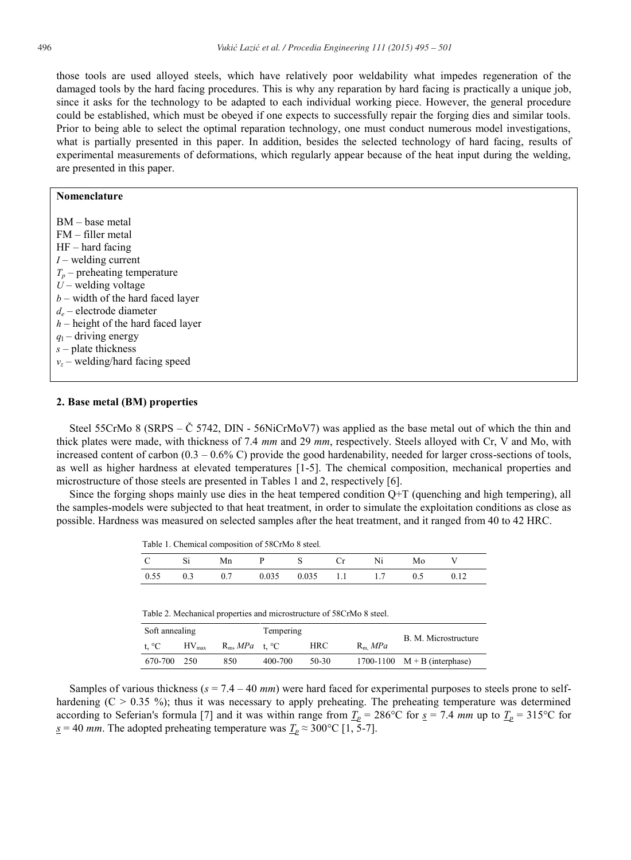those tools are used alloyed steels, which have relatively poor weldability what impedes regeneration of the damaged tools by the hard facing procedures. This is why any reparation by hard facing is practically a unique job, since it asks for the technology to be adapted to each individual working piece. However, the general procedure could be established, which must be obeyed if one expects to successfully repair the forging dies and similar tools. Prior to being able to select the optimal reparation technology, one must conduct numerous model investigations, what is partially presented in this paper. In addition, besides the selected technology of hard facing, results of experimental measurements of deformations, which regularly appear because of the heat input during the welding, are presented in this paper.

### **Nomenclature**

BM – base metal FM – filler metal HF – hard facing *I* – welding current  $T_p$  – preheating temperature  $U$  – welding voltage *b* – width of the hard faced layer *de* – electrode diameter *h* – height of the hard faced layer  $q_1$  – driving energy *s* – plate thickness *vz* – welding/hard facing speed

#### **2. Base metal (BM) properties**

Steel 55CrMo 8 (SRPS – Č 5742, DIN - 56NiCrMoV7) was applied as the base metal out of which the thin and thick plates were made, with thickness of 7.4 *mm* and 29 *mm*, respectively. Steels alloyed with Cr, V and Mo, with increased content of carbon  $(0.3 - 0.6\% \text{ C})$  provide the good hardenability, needed for larger cross-sections of tools, as well as higher hardness at elevated temperatures [1-5]. The chemical composition, mechanical properties and microstructure of those steels are presented in Tables 1 and 2, respectively [6].

Since the forging shops mainly use dies in the heat tempered condition Q+T (quenching and high tempering), all the samples-models were subjected to that heat treatment, in order to simulate the exploitation conditions as close as possible. Hardness was measured on selected samples after the heat treatment, and it ranged from 40 to 42 HRC.

|  |  | Table 1. Chemical composition of 58CrMo 8 steel. |
|--|--|--------------------------------------------------|
|--|--|--------------------------------------------------|

| $\mathbf{C}$ | $S_1$ | Mn                                                   | P S Cr | Ni | Mo |  |
|--------------|-------|------------------------------------------------------|--------|----|----|--|
|              |       | $0.55$ $0.3$ $0.7$ $0.035$ $0.035$ $1.1$ $1.7$ $0.5$ |        |    |    |  |

Table 2. Mechanical properties and microstructure of 58CrMo 8 steel.

| Soft annealing |            |                   | Tempering |       |           |                                |  |
|----------------|------------|-------------------|-----------|-------|-----------|--------------------------------|--|
| t. $^{\circ}C$ | $HV_{max}$ | $R_m$ , MPa t. °C |           | HRC.  | $R_m$ MPa | B. M. Microstructure           |  |
| 670-700        | 250        | 850               | 400-700   | 50-30 |           | 1700-1100 $M + B$ (interphase) |  |

Samples of various thickness  $(s = 7.4 - 40 \text{ mm})$  were hard faced for experimental purposes to steels prone to selfhardening  $(C > 0.35 \%)$ ; thus it was necessary to apply preheating. The preheating temperature was determined according to Seferian's formula [7] and it was within range from  $\underline{T}_p = 286^{\circ}\text{C}$  for  $\underline{s} = 7.4$  *mm* up to  $\underline{T}_p = 315^{\circ}\text{C}$  for *<u>s</u>* = 40 *mm*. The adopted preheating temperature was  $\frac{T_p}{r}$  ≈ 300°C [1, 5-7].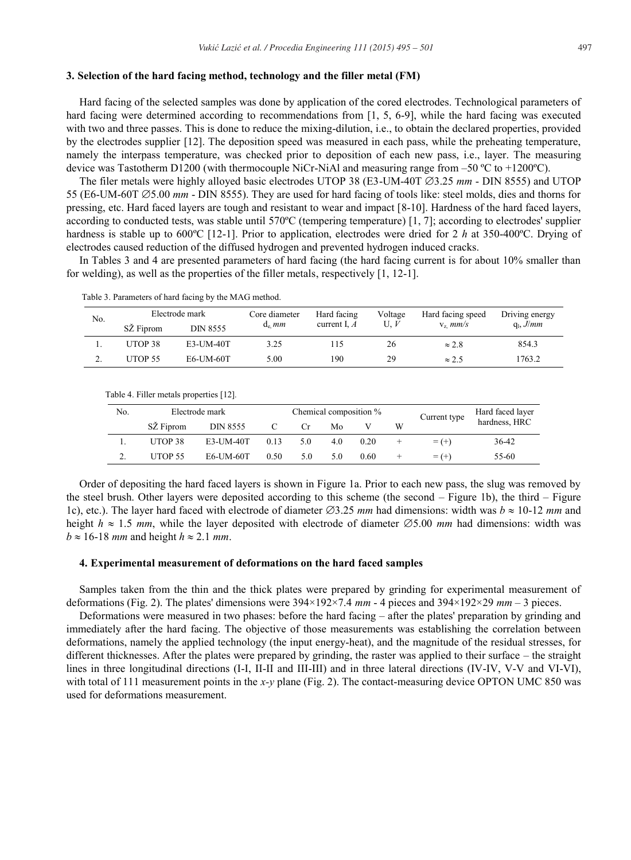# **3. Selection of the hard facing method, technology and the filler metal (FM)**

Hard facing of the selected samples was done by application of the cored electrodes. Technological parameters of hard facing were determined according to recommendations from [1, 5, 6-9], while the hard facing was executed with two and three passes. This is done to reduce the mixing-dilution, i.e., to obtain the declared properties, provided by the electrodes supplier [12]. The deposition speed was measured in each pass, while the preheating temperature, namely the interpass temperature, was checked prior to deposition of each new pass, i.e., layer. The measuring device was Tastotherm D1200 (with thermocouple NiCr-NiAl and measuring range from  $-50^{\circ}$ C to  $+1200^{\circ}$ C).

The filer metals were highly alloyed basic electrodes UTOP 38 (E3-UM-40T  $\emptyset$ 3.25 *mm* - DIN 8555) and UTOP 55 (E6-UM-60T 5.00 *mm* - DIN 8555). They are used for hard facing of tools like: steel molds, dies and thorns for pressing, etc. Hard faced layers are tough and resistant to wear and impact [8-10]. Hardness of the hard faced layers, according to conducted tests, was stable until 570ºC (tempering temperature) [1, 7]; according to electrodes' supplier hardness is stable up to 600°C [12-1]. Prior to application, electrodes were dried for 2 *h* at 350-400°C. Drying of electrodes caused reduction of the diffused hydrogen and prevented hydrogen induced cracks.

In Tables 3 and 4 are presented parameters of hard facing (the hard facing current is for about 10% smaller than for welding), as well as the properties of the filler metals, respectively [1, 12-1].

| No. | Electrode mark |                 | Core diameter | Hard facing    | Voltage | Hard facing speed | Driving energy |
|-----|----------------|-----------------|---------------|----------------|---------|-------------------|----------------|
|     | SZ Fiprom      | <b>DIN 8555</b> | $d_e$ mm      | current I, $A$ | U. $V$  | $V_z$ mm/s        | $q_1, J/mm$    |
|     | UTOP 38        | E3-UM-40T       | 3.25          | 115            | 26      | $\approx$ 2.8     | 854.3          |
| ٠.  | UTOP 55        | E6-UM-60T       | 5.00          | 190            | 29      | $\approx 2.5$     | 1763.2         |

Table 3. Parameters of hard facing by the MAG method.

| Table 4. Filler metals properties [12]. |     |                |           |      |                        |     |      |        |              |                  |
|-----------------------------------------|-----|----------------|-----------|------|------------------------|-----|------|--------|--------------|------------------|
|                                         | No. | Electrode mark |           |      | Chemical composition % |     |      |        | Current type | Hard faced layer |
|                                         |     | SZ Fiprom      | DIN 8555  |      | Cr                     | Mo  |      | W      |              | hardness, HRC    |
|                                         |     | UTOP 38        | E3-UM-40T | 0.13 | 5.0                    | 4.0 | 0.20 | $\pm$  | $= (+)$      | 36-42            |
|                                         |     | <b>UTOP 55</b> | E6-UM-60T | 0.50 | 5.0                    | 5.0 | 0.60 | $\div$ | $=$ $(+)$    | 55-60            |

Order of depositing the hard faced layers is shown in Figure 1a. Prior to each new pass, the slug was removed by the steel brush. Other layers were deposited according to this scheme (the second – Figure 1b), the third – Figure 1c), etc.). The layer hard faced with electrode of diameter  $\emptyset$ 3.25 *mm* had dimensions: width was  $b \approx 10{\text -}12$  *mm* and height  $h \approx 1.5$  *mm*, while the layer deposited with electrode of diameter  $\emptyset$ 5.00 *mm* had dimensions: width was  $b \approx 16$ -18 *mm* and height  $h \approx 2.1$  *mm*.

#### **4. Experimental measurement of deformations on the hard faced samples**

Samples taken from the thin and the thick plates were prepared by grinding for experimental measurement of deformations (Fig. 2). The plates' dimensions were 394×192×7.4 *mm* - 4 pieces and 394×192×29 *mm* – 3 pieces.

Deformations were measured in two phases: before the hard facing – after the plates' preparation by grinding and immediately after the hard facing. The objective of those measurements was establishing the correlation between deformations, namely the applied technology (the input energy-heat), and the magnitude of the residual stresses, for different thicknesses. After the plates were prepared by grinding, the raster was applied to their surface – the straight lines in three longitudinal directions (I-I, II-II and III-III) and in three lateral directions (IV-IV, V-V and VI-VI), with total of 111 measurement points in the *x*-*y* plane (Fig. 2). The contact-measuring device OPTON UMC 850 was used for deformations measurement.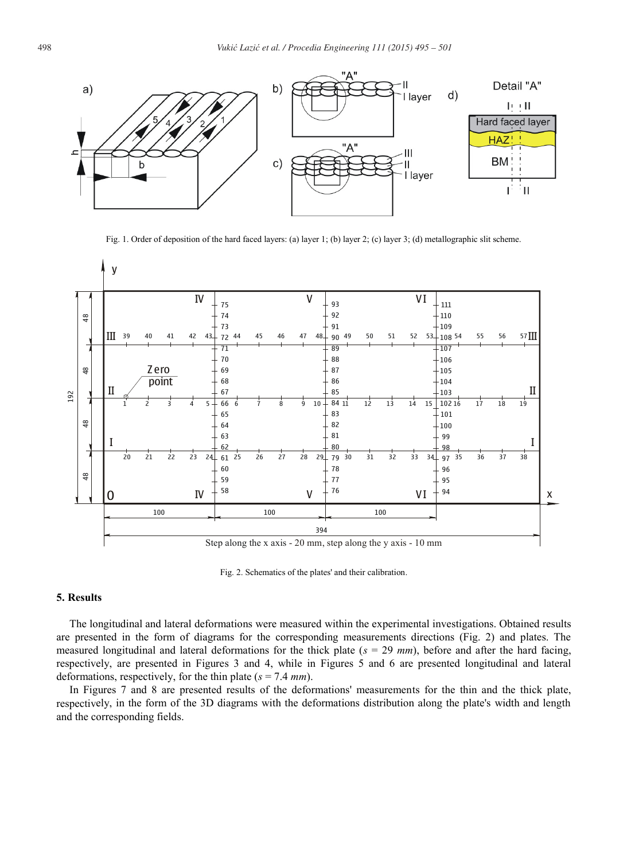

Fig. 1. Order of deposition of the hard faced layers: (a) layer 1; (b) layer 2; (c) layer 3; (d) metallographic slit scheme.



Fig. 2. Schematics of the plates' and their calibration.

# **5. Results**

The longitudinal and lateral deformations were measured within the experimental investigations. Obtained results are presented in the form of diagrams for the corresponding measurements directions (Fig. 2) and plates. The measured longitudinal and lateral deformations for the thick plate ( $s = 29$   $mm$ ), before and after the hard facing, respectively, are presented in Figures 3 and 4, while in Figures 5 and 6 are presented longitudinal and lateral deformations, respectively, for the thin plate (*s* = 7.4 *mm*).

In Figures 7 and 8 are presented results of the deformations' measurements for the thin and the thick plate, respectively, in the form of the 3D diagrams with the deformations distribution along the plate's width and length and the corresponding fields.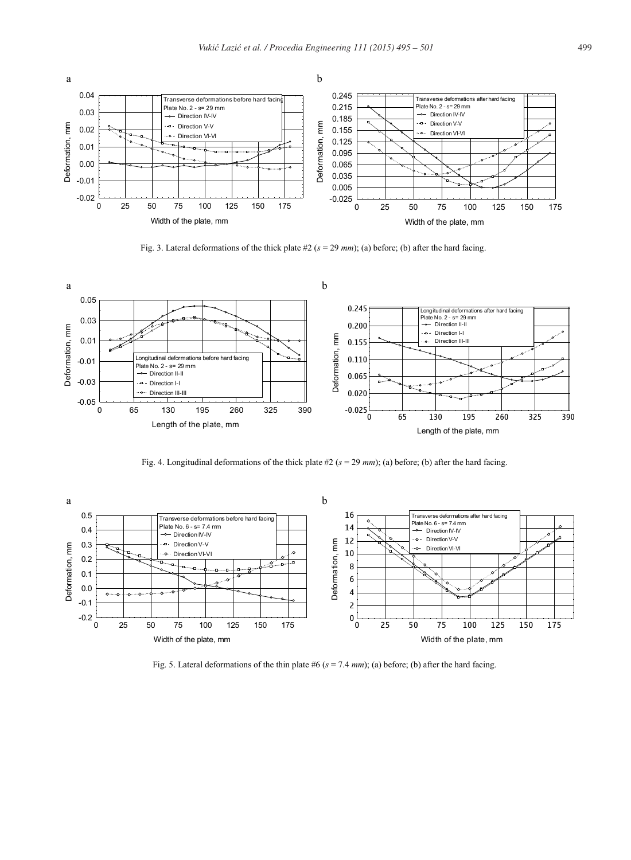

Fig. 3. Lateral deformations of the thick plate #2 (*s* = 29 *mm*); (a) before; (b) after the hard facing.



Fig. 4. Longitudinal deformations of the thick plate #2 (*s* = 29 *mm*); (a) before; (b) after the hard facing.



Fig. 5. Lateral deformations of the thin plate #6 (*s* = 7.4 *mm*); (a) before; (b) after the hard facing.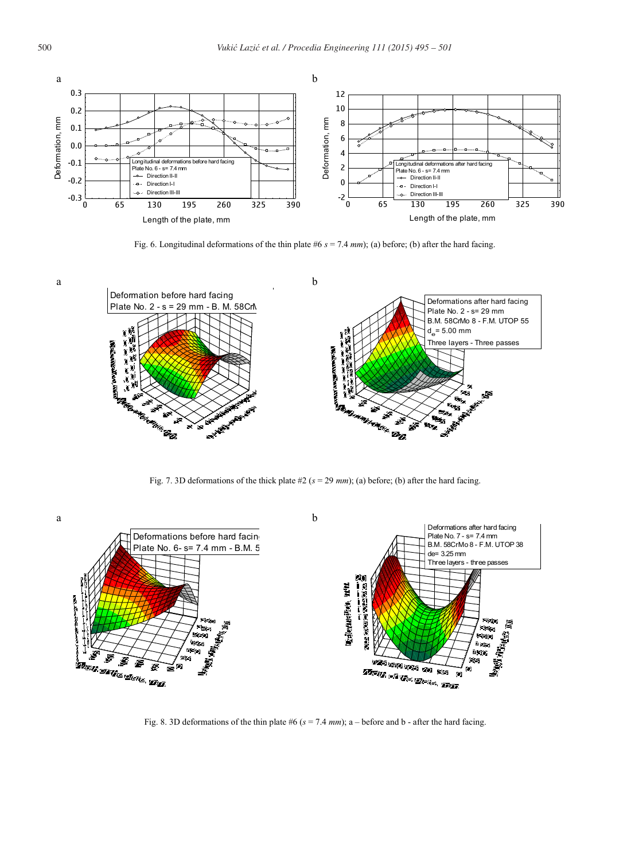

Fig. 6. Longitudinal deformations of the thin plate #6 *s* = 7.4 *mm*); (a) before; (b) after the hard facing.



Fig. 7. 3D deformations of the thick plate #2 (*s* = 29 *mm*); (a) before; (b) after the hard facing.



Fig. 8. 3D deformations of the thin plate #6 (*s* = 7.4 *mm*); a – before and b - after the hard facing.